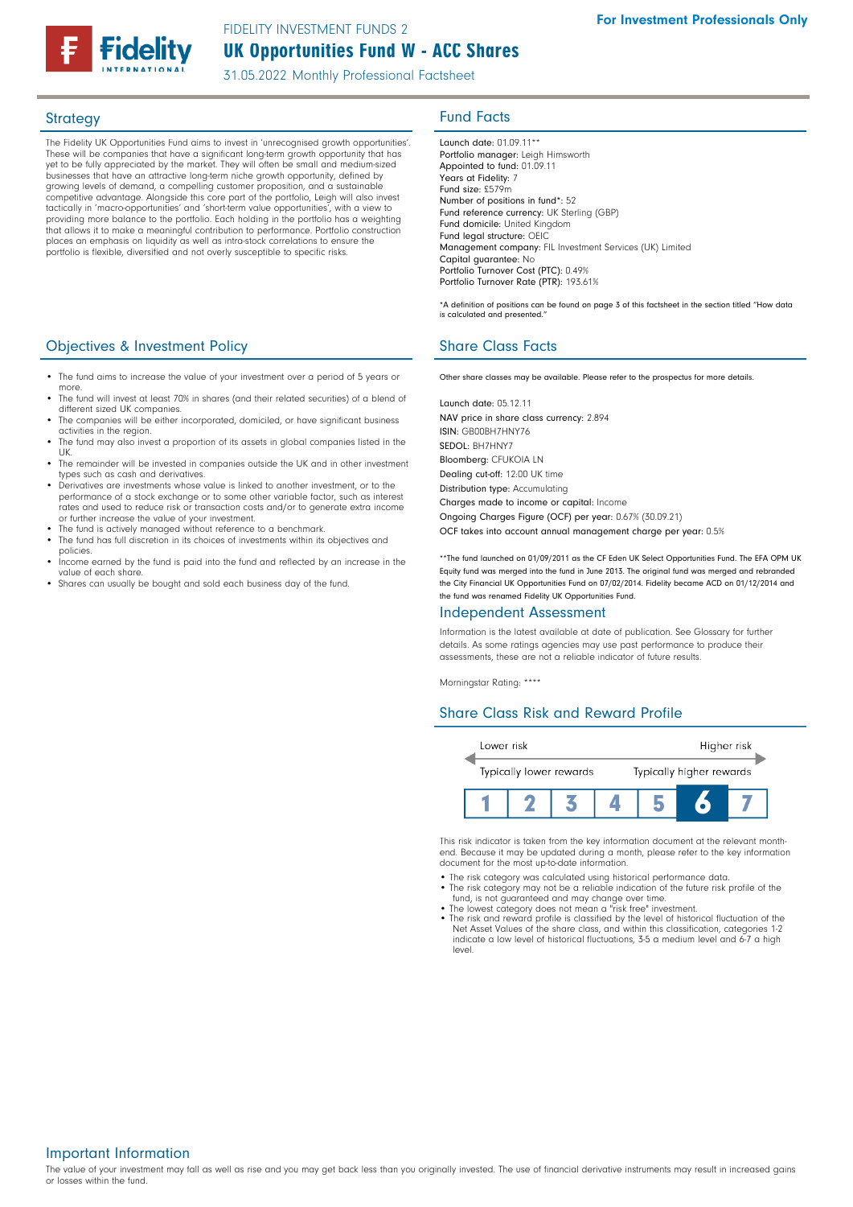# UK Opportunities Fund W - ACC Shares FIDELITY INVESTMENT FUNDS 2

31.05.2022 Monthly Professional Factsheet

The Fidelity UK Opportunities Fund aims to invest in 'unrecognised growth opportunities'. These will be companies that have a significant long-term growth opportunity that has yet to be fully appreciated by the market. They will often be small and medium-sized businesses that have an attractive long-term niche growth opportunity, defined by growing levels of demand, a compelling customer proposition, and a sustainable competitive advantage. Alongside this core part of the portfolio, Leigh will also invest tactically in 'macro-opportunities' and 'short-term value opportunities', with a view to providing more balance to the portfolio. Each holding in the portfolio has a weighting that allows it to make a meaningful contribution to performance. Portfolio construction places an emphasis on liquidity as well as intra-stock correlations to ensure the portfolio is flexible, diversified and not overly susceptible to specific risks.

# **Objectives & Investment Policy Share Class Facts** Share Class Facts

- The fund aims to increase the value of your investment over a period of 5 years or more.
- The fund will invest at least 70% in shares (and their related securities) of a blend of different sized UK companies.
- The companies will be either incorporated, domiciled, or have significant business activities in the region.
- The fund may also invest a proportion of its assets in global companies listed in the UK.
- The remainder will be invested in companies outside the UK and in other investment types such as cash and derivatives.
- Derivatives are investments whose value is linked to another investment, or to the performance of a stock exchange or to some other variable factor, such as interest rates and used to reduce risk or transaction costs and/or to generate extra income or further increase the value of your investment.
- The fund is actively managed without reference to a benchmark
- The fund has full discretion in its choices of investments within its objectives and policies.
- Income earned by the fund is paid into the fund and reflected by an increase in the value of each share.
- Shares can usually be bought and sold each business day of the fund

# Strategy **Fund Facts**

Launch date: 01.09.11\*\* Portfolio manager: Leigh Himsworth Appointed to fund: 01.09.11 Years at Fidelity: 7 Fund size: £579m Number of positions in fund\*: 52 Fund reference currency: UK Sterling (GBP) Fund domicile: United Kingdom Fund legal structure: OEIC Management company: FIL Investment Services (UK) Limited Capital guarantee: No Portfolio Turnover Cost (PTC): 0.49% Portfolio Turnover Rate (PTR): 193.61%

\*A definition of positions can be found on page 3 of this factsheet in the section titled "How data is calculated and presented."

Other share classes may be available. Please refer to the prospectus for more details.

Launch date: 05.12.11 NAV price in share class currency: 2.894 ISIN: GB00BH7HNY76 SEDOL: BH7HNY7 Bloomberg: CFUKOIA LN Dealing cut-off: 12:00 UK time Distribution type: Accumulating Charges made to income or capital: Income

Ongoing Charges Figure (OCF) per year: 0.67% (30.09.21) OCF takes into account annual management charge per year: 0.5%

\*\*The fund launched on 01/09/2011 as the CF Eden UK Select Opportunities Fund. The EFA OPM UK Equity fund was merged into the fund in June 2013. The original fund was merged and rebranded the City Financial UK Opportunities Fund on 07/02/2014. Fidelity became ACD on 01/12/2014 and the fund was renamed Fidelity UK Opportunities Fund.

## Independent Assessment

Information is the latest available at date of publication. See Glossary for further details. As some ratings agencies may use past performance to produce their assessments, these are not a reliable indicator of future results.

Morningstar Rating: \*\*\*\*

# Share Class Risk and Reward Profile



This risk indicator is taken from the key information document at the relevant monthend. Because it may be updated during a month, please refer to the key information document for the most up-to-date information.

- The risk category was calculated using historical performance data.
- The risk category may not be a reliable indication of the future risk profile of the
- fund, is not guaranteed and may change over time. The lowest category does not mean a "risk free" investment.
- The risk and reward profile is classified by the level of historical fluctuation of the Net Asset Values of the share class, and within this classification, categories 1-2 indicate a low level of historical fluctuations, 3-5 a medium level and 6-7 a high level

Important Information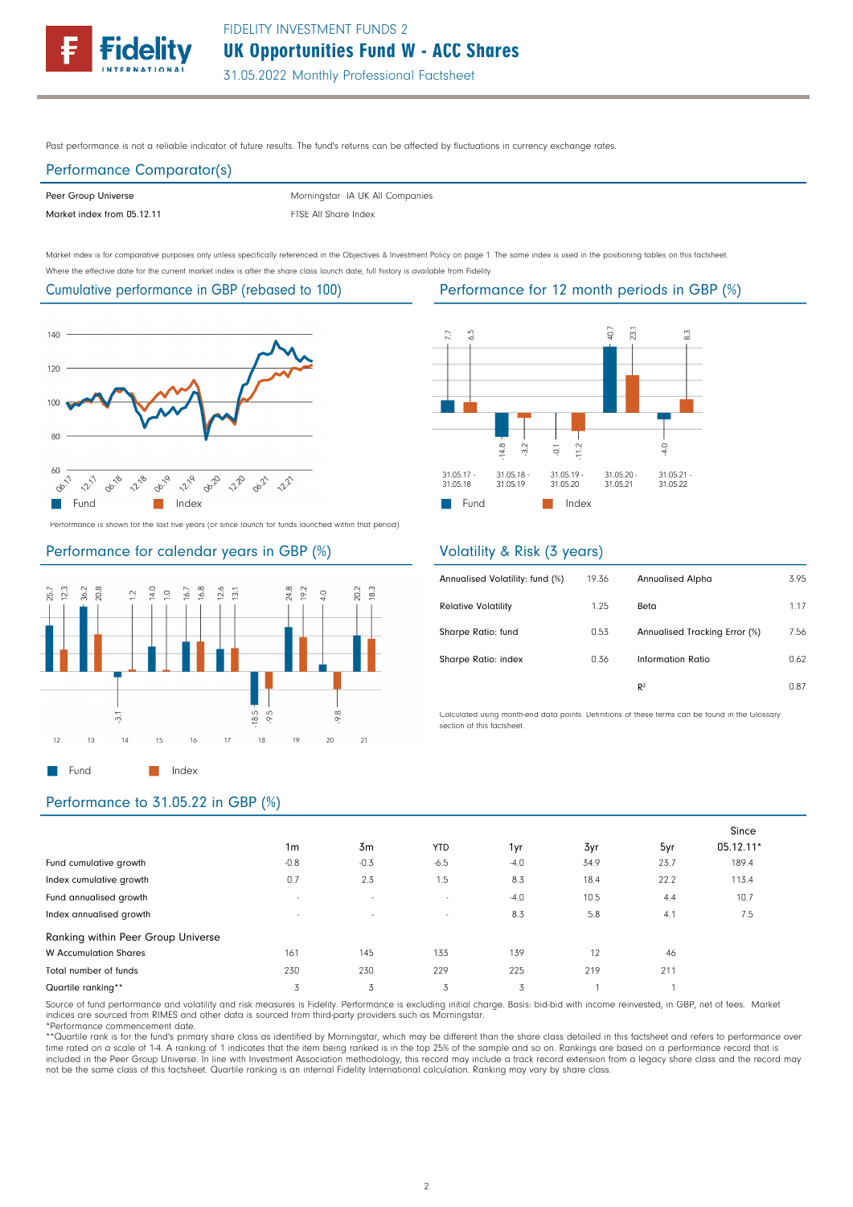

Past performance is not a reliable indicator of future results. The fund's returns can be affected by fluctuations in currency exchange rates.

# Performance Comparator(s)

| Peer Group Universe        | Morningstar IA UK All Companies |
|----------------------------|---------------------------------|
| Market index from 05.12.11 | FTSE All Share Index            |

Market index is for comparative purposes only unless specifically referenced in the Objectives & Investment Policy on page 1. The same index is used in the positioning tables on this factsheet. Where the effective date for the current market index is after the share class launch date, full history is available from Fidelity.

# Cumulative performance in GBP (rebased to 100)



Performance is shown for the last five years (or since launch for funds launched within that period).

# Performance for calendar years in GBP (%)



# Performance for 12 month periods in GBP (%)



# Volatility & Risk (3 years)

| Annualised Volatility: fund (%) | 19.36 | <b>Annualised Alpha</b>       | 3.95 |
|---------------------------------|-------|-------------------------------|------|
| <b>Relative Volatility</b>      | 1.25  | Beta                          | 1.17 |
| Sharpe Ratio: fund              | 0.53  | Annualised Tracking Error (%) | 7.56 |
| Sharpe Ratio: index             | 0.36  | Information Ratio             | 0.62 |
|                                 |       | R <sup>2</sup>                | 0.87 |

Calculated using month-end data points. Definitions of these terms can be found in the Glossary section of this factsheet.

# Performance to 31.05.22 in GBP (%)

|                                    |                          |                |                          |        |      |      | Since     |
|------------------------------------|--------------------------|----------------|--------------------------|--------|------|------|-----------|
|                                    | 1 <sub>m</sub>           | 3 <sub>m</sub> | <b>YTD</b>               | 1yr    | 3yr  | 5yr  | 05.12.11* |
| Fund cumulative growth             | $-0.8$                   | $-0.3$         | $-6.5$                   | $-4.0$ | 34.9 | 23.7 | 189.4     |
| Index cumulative growth            | 0.7                      | 2.3            | 1.5                      | 8.3    | 18.4 | 22.2 | 113.4     |
| Fund annualised growth             | -                        | $\sim$         | $\sim$                   | $-4.0$ | 10.5 | 4.4  | 10.7      |
| Index annualised growth            | $\overline{\phantom{a}}$ | $\sim$         | $\overline{\phantom{a}}$ | 8.3    | 5.8  | 4.1  | 7.5       |
| Ranking within Peer Group Universe |                          |                |                          |        |      |      |           |
| <b>W</b> Accumulation Shares       | 161                      | 145            | 133                      | 139    | 12   | 46   |           |
| Total number of funds              | 230                      | 230            | 229                      | 225    | 219  | 211  |           |
| Quartile ranking**                 | 3                        | 3              | 3                        | 3      |      |      |           |

Source of fund performance and volatility and risk measures is Fidelity. Performance is excluding initial charge. Basis: bid-bid with income reinvested, in GBP, net of fees. Market indices are sourced from RIMES and other data is sourced from third-party providers such as Morningstar.

\*Performance commencement date.

\*\*Quartile rank is for the fund's primary share class as identified by Morningstar, which may be different than the share class detailed in this factsheet and refers to performance over time rated on a scale of 1-4. A ranking of 1 indicates that the item being ranked is in the top 25% of the sample and so on. Rankings are based on a performance record that is<br>included in the Peer Group Universe. In line w not be the same class of this factsheet. Quartile ranking is an internal Fidelity International calculation. Ranking may vary by share class.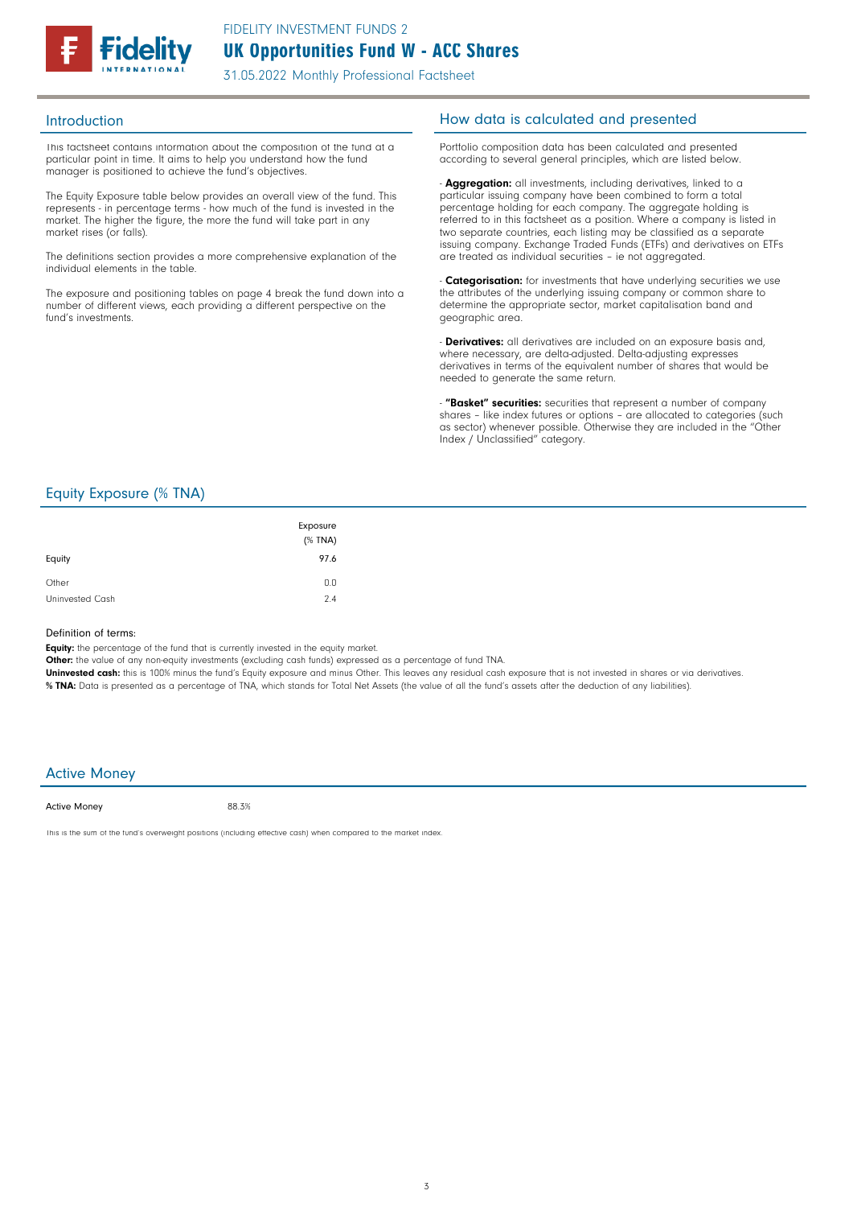

This factsheet contains information about the composition of the fund at a particular point in time. It aims to help you understand how the fund manager is positioned to achieve the fund's objectives.

The Equity Exposure table below provides an overall view of the fund. This represents - in percentage terms - how much of the fund is invested in the market. The higher the figure, the more the fund will take part in any market rises (or falls).

The definitions section provides a more comprehensive explanation of the individual elements in the table.

The exposure and positioning tables on page 4 break the fund down into a number of different views, each providing a different perspective on the fund's investments.

# Introduction **Introduction How data is calculated and presented**

Portfolio composition data has been calculated and presented according to several general principles, which are listed below.

- **Aggregation:** all investments, including derivatives, linked to a particular issuing company have been combined to form a total percentage holding for each company. The aggregate holding is referred to in this factsheet as a position. Where a company is listed in two separate countries, each listing may be classified as a separate issuing company. Exchange Traded Funds (ETFs) and derivatives on ETFs are treated as individual securities – ie not aggregated.

**Categorisation:** for investments that have underlying securities we use the attributes of the underlying issuing company or common share to determine the appropriate sector, market capitalisation band and geographic area.

- **Derivatives:** all derivatives are included on an exposure basis and, where necessary, are delta-adjusted. Delta-adjusting expresses derivatives in terms of the equivalent number of shares that would be needed to generate the same return.

"Basket" securities: securities that represent a number of company shares - like index futures or options - are allocated to categories (such as sector) whenever possible. Otherwise they are included in the "Other Index / Unclassified" category.

# Equity Exposure (% TNA)

| Equity          | Exposure<br>(% TNA)<br>97.6 |
|-----------------|-----------------------------|
| Other           | 0.0                         |
| Uninvested Cash | 2.4                         |

### Definition of terms:

Equity: the percentage of the fund that is currently invested in the equity market.

Other: the value of any non-equity investments (excluding cash funds) expressed as a percentage of fund TNA.

Uninvested cash: this is 100% minus the fund's Equity exposure and minus Other. This leaves any residual cash exposure that is not invested in shares or via derivatives. % TNA: Data is presented as a percentage of TNA, which stands for Total Net Assets (the value of all the fund's assets after the deduction of any liabilities).

# Active Money

Active Money

88.3%

This is the sum of the fund's overweight positions (including effective cash) when compared to the market index.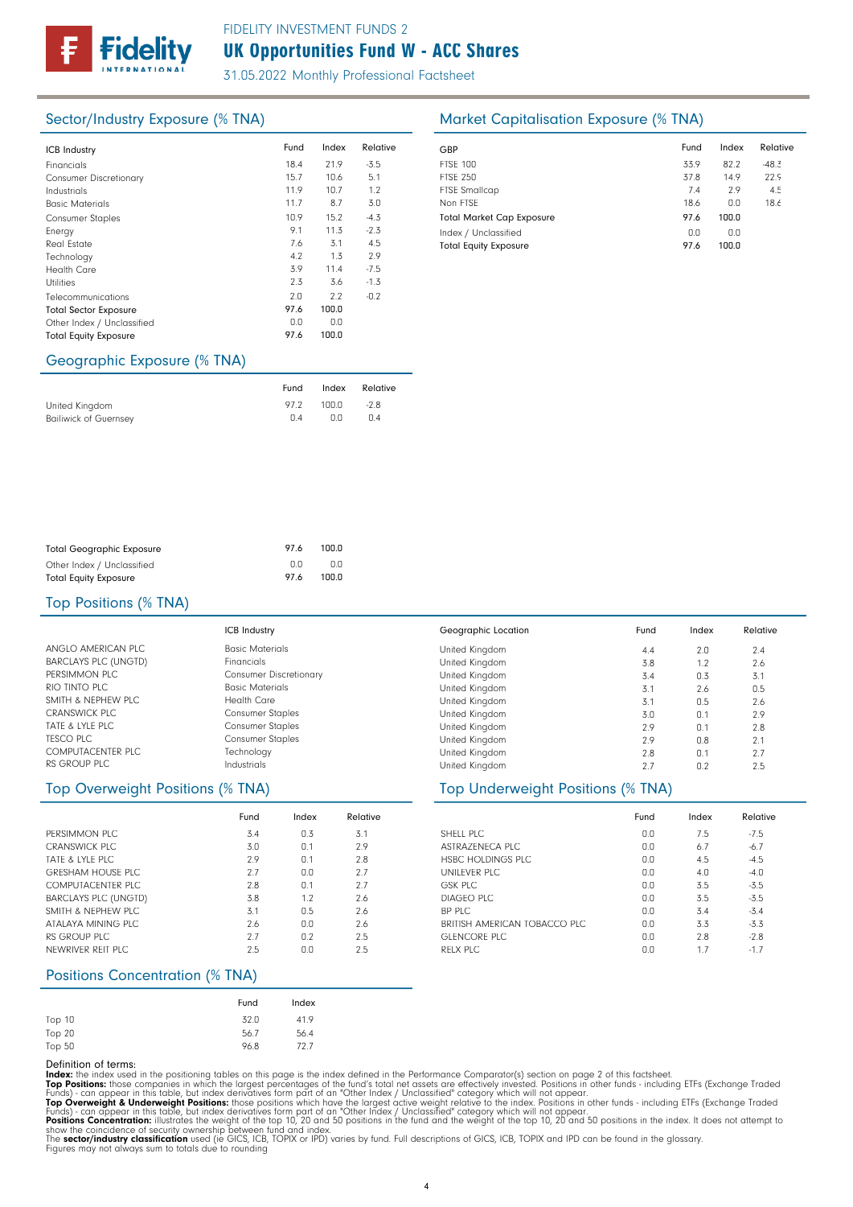

# UK Opportunities Fund W - ACC Shares FIDELITY INVESTMENT FUNDS 2

31.05.2022 Monthly Professional Factsheet

| <b>ICB Industry</b>           | Fund | Index | Relative | GBP         |
|-------------------------------|------|-------|----------|-------------|
|                               |      |       |          |             |
| Financials                    | 18.4 | 21.9  | $-3.5$   | <b>FTSE</b> |
| <b>Consumer Discretionary</b> | 15.7 | 10.6  | 5.1      | <b>FTSE</b> |
| Industrials                   | 11.9 | 10.7  | 1.2      | <b>FTSE</b> |
| <b>Basic Materials</b>        | 11.7 | 8.7   | 3.0      | Non         |
| <b>Consumer Staples</b>       | 10.9 | 15.2  | $-4.3$   | Tota        |
| Energy                        | 9.1  | 11.3  | $-2.3$   | Inde        |
| Real Estate                   | 7.6  | 3.1   | 4.5      | Tota        |
| Technology                    | 4.2  | 1.3   | 2.9      |             |
| <b>Health Care</b>            | 3.9  | 11.4  | $-7.5$   |             |
| Utilities                     | 2.3  | 3.6   | $-1.3$   |             |
| Telecommunications            | 2.0  | 2.2   | $-0.2$   |             |
| <b>Total Sector Exposure</b>  | 97.6 | 100.0 |          |             |
| Other Index / Unclassified    | 0.0  | 0.0   |          |             |
| <b>Total Equity Exposure</b>  | 97.6 | 100.0 |          |             |
|                               |      |       |          |             |

# Sector/Industry Exposure (% TNA) Market Capitalisation Exposure (% TNA)

| GBP                              | Fund | Index | Relative |
|----------------------------------|------|-------|----------|
| <b>FTSF 100</b>                  | 33.9 | 82.2  | $-48.3$  |
| <b>FTSE 250</b>                  | 37.8 | 14.9  | 22.9     |
| <b>FTSE Smallcap</b>             | 7.4  | 2.9   | 4.5      |
| Non FTSF                         | 18.6 | n.n   | 18.6     |
| <b>Total Market Cap Exposure</b> | 97.6 | 100.0 |          |
| Index / Unclassified             | 0.0  | 0.0   |          |
| <b>Total Equity Exposure</b>     | 97.6 | 100.0 |          |

# Geographic Exposure (% TNA)

|                              | Fund            | Index | Relative |
|------------------------------|-----------------|-------|----------|
| United Kinadom               | 972             | 100.0 | $-2.8$   |
| <b>Bailiwick of Guernsey</b> | $\cap$ $\Delta$ | 0.0   | 0.4      |

| <b>Total Geographic Exposure</b> | 976 | 100.0 |
|----------------------------------|-----|-------|
| Other Index / Unclassified       | n n | n n   |
| <b>Total Equity Exposure</b>     | 976 | 100.0 |

## Top Positions (% TNA)

|                             | <b>ICB Industry</b>           |
|-----------------------------|-------------------------------|
| ANGLO AMERICAN PLC          | <b>Basic Materials</b>        |
| <b>BARCLAYS PLC (UNGTD)</b> | Financials                    |
| PERSIMMON PLC               | <b>Consumer Discretionary</b> |
| RIO TINTO PLC               | <b>Basic Materials</b>        |
| SMITH & NEPHEW PLC.         | Health Care                   |
| <b>CRANSWICK PLC</b>        | <b>Consumer Staples</b>       |
| TATE & LYLE PLC             | <b>Consumer Staples</b>       |
| <b>TESCO PLC</b>            | <b>Consumer Staples</b>       |
| <b>COMPUTACENTER PLC</b>    | Technology                    |
| RS GROUP PLC                | Industrials                   |

|                             | Fund | Index | Relative |
|-----------------------------|------|-------|----------|
| PERSIMMON PLC.              | 3.4  | 0.3   | 3.1      |
| CRANSWICK PLC               | 3.0  | 0.1   | 2.9      |
| TATE & LYLE PLC             | 2.9  | 0.1   | 2.8      |
| <b>GRESHAM HOUSE PLC</b>    | 2.7  | 0.0   | 2.7      |
| COMPUTACENTER PLC           | 2.8  | 0.1   | 2.7      |
| <b>BARCLAYS PLC (UNGTD)</b> | 3.8  | 1.2   | 2.6      |
| SMITH & NEPHEW PLC          | 3.1  | 0.5   | 2.6      |
| ATALAYA MINING PLC          | 2.6  | 0.0   | 2.6      |
| RS GROUP PLC                | 2.7  | 0.2   | 2.5      |
| NEWRIVER REIT PLC           | 2.5  | 0.0   | 2.5      |

# Positions Concentration (% TNA)

|        | Fund | Index |
|--------|------|-------|
| Top 10 | 32.0 | 41.9  |
| Top 20 | 56.7 | 56.4  |
| Top 50 | 96.8 | 72.7  |

### United Kingdom United Kingdom United Kingdom United Kingdom United Kingdom United Kingdom United Kingdom United Kingdom United Kingdom United Kingdom Geographic Location  $2.0$ 1.2 0.3 2.6 0.5 0.1 0.1 0.8 0.1 n<sub>2</sub> Fund Index Relative 4.4 3.8 3.4 3.1 3.1 3.0 2.9 2.9 2.8 2.7  $2.4$ 2.6 3.1 0.5 2.6 2.9 2.8 2.1 2.7  $2.5$

# Top Overweight Positions (% TNA) Top Underweight Positions (% TNA)

|                              | Fund | Index | Relative |
|------------------------------|------|-------|----------|
| SHELL PLC                    | 0.0  | 7.5   | $-7.5$   |
| ASTRAZENECA PLC              | 0.0  | 6.7   | $-6.7$   |
| HSBC HOLDINGS PLC            | 0.0  | 4.5   | $-4.5$   |
| UNILFVER PLC                 | 0.0  | 4.0   | $-4.0$   |
| <b>GSK PLC</b>               | 0.0  | 3.5   | $-5.5$   |
| DIAGFO PLC                   | 0.0  | 3.5   | $-3.5$   |
| BP PLC                       | 0.0  | 3.4   | $-5.4$   |
| BRITISH AMERICAN TOBACCO PLC | 0.0  | 3.3   | $-5.3$   |
| GLENCORE PLC                 | 0.0  | 2.8   | $-2.8$   |
| RFLX PLC                     | 0.0  | 1.7   | $-1.7$   |

Definition of terms:<br>
Top Positions: these din the positioning tables on this page is the index defined in the Performance Comparator(s) section on page 2 of this factsheet.<br>
ITOP Positions: those companies in which the la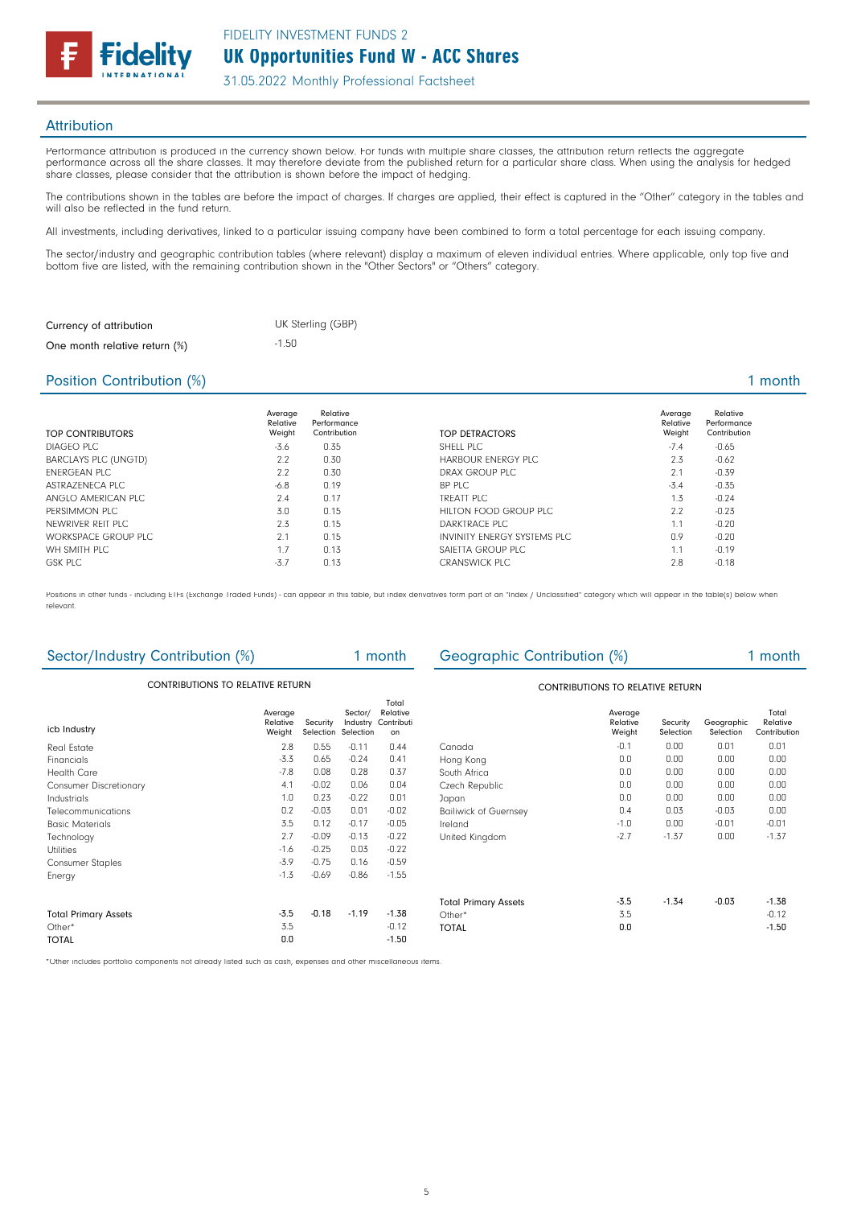

# **Attribution**

Performance attribution is produced in the currency shown below. For funds with multiple share classes, the attribution return reflects the aggregate performance across all the share classes. It may therefore deviate from the published return for a particular share class. When using the analysis for hedged share classes, please consider that the attribution is shown before the impact of hedging.

The contributions shown in the tables are before the impact of charges. If charges are applied, their effect is captured in the "Other" category in the tables and will also be reflected in the fund return.

All investments, including derivatives, linked to a particular issuing company have been combined to form a total percentage for each issuing company.

The sector/industry and geographic contribution tables (where relevant) display a maximum of eleven individual entries. Where applicable, only top five and bottom five are listed, with the remaining contribution shown in the "Other Sectors" or "Others" category.

| Currency of attribution       | UK Sterling (GBP) |
|-------------------------------|-------------------|
| One month relative return (%) | $-1.50$           |

# Position Contribution (%) 2 and 2 and 2 and 2 and 2 and 2 and 2 and 2 and 2 and 2 and 2 and 2 and 2 and 2 and 2 and 2 and 2 and 2 and 2 and 2 and 2 and 2 and 2 and 2 and 2 and 2 and 2 and 2 and 2 and 2 and 2 and 2 and 2 an

| <b>TOP CONTRIBUTORS</b>     | Average<br>Relative<br>Weight | Relative<br>Performance<br>Contribution | TOP DETRACTORS               | Average<br>Relative<br>Weight | Relative<br>Performance<br>Contribution |
|-----------------------------|-------------------------------|-----------------------------------------|------------------------------|-------------------------------|-----------------------------------------|
| DIAGEO PLC                  | $-3.6$                        | 0.35                                    | SHELL PLC                    | $-7.4$                        | $-0.65$                                 |
| <b>BARCLAYS PLC (UNGTD)</b> | 2.2                           | 0.30                                    | HARBOUR ENERGY PLC           | 2.3                           | $-0.62$                                 |
| <b>FNFRGFAN PLC</b>         | 2.2                           | 0.30                                    | DRAX GROUP PLC               | 2.1                           | $-0.39$                                 |
| ASTRAZENECA PLC             | $-6.8$                        | 0.19                                    | BP PLC                       | $-3.4$                        | $-0.35$                                 |
| ANGLO AMERICAN PLC          | 2.4                           | 0.17                                    | TREATT PLC                   | 1.3                           | $-0.24$                                 |
| PERSIMMON PLC               | 3.0                           | 0.15                                    | HILTON FOOD GROUP PLC        | 2.2                           | $-0.23$                                 |
| NEWRIVER REIT PLC           | 2.3                           | 0.15                                    | DARKTRACE PLC                | 1.1                           | $-0.20$                                 |
| WORKSPACE GROUP PLC         | 2.1                           | 0.15                                    | INVINITY ENERGY SYSTEMS PLC. | 0.9                           | $-0.20$                                 |
| WH SMITH PLC                | 1.7                           | 0.13                                    | SAIETTA GROUP PLC            | 1.1                           | $-0.19$                                 |
| <b>GSK PLC</b>              | $-3.7$                        | 0.13                                    | <b>CRANSWICK PLC</b>         | 2.8                           | $-0.18$                                 |

Positions in other funds - including ETFs (Exchange Traded Funds) - can appear in this table, but index derivatives form part of an "Index / Unclassified" category which will appear in the table(s) below when relevant.

| Sector/Industry Contribution (%)        |                               |          |                                            | 1 month                               | Geographic Contribution (%)  |                               |                       |                         | 1 month                           |
|-----------------------------------------|-------------------------------|----------|--------------------------------------------|---------------------------------------|------------------------------|-------------------------------|-----------------------|-------------------------|-----------------------------------|
| <b>CONTRIBUTIONS TO RELATIVE RETURN</b> |                               |          |                                            | CONTRIBUTIONS TO RELATIVE RETURN      |                              |                               |                       |                         |                                   |
| icb Industry                            | Average<br>Relative<br>Weight | Security | Sector/<br>Industry<br>Selection Selection | Total<br>Relative<br>Contributi<br>on |                              | Average<br>Relative<br>Weight | Security<br>Selection | Geographic<br>Selection | Total<br>Relative<br>Contribution |
| <b>Real Estate</b>                      | 2.8                           | 0.55     | $-0.11$                                    | 0.44                                  | Canada                       | $-0.1$                        | 0.00                  | 0.01                    | 0.01                              |
| Financials                              | $-3.3$                        | 0.65     | $-0.24$                                    | 0.41                                  | Hong Kong                    | 0.0                           | 0.00                  | 0.00                    | 0.00                              |
| <b>Health Care</b>                      | $-7.8$                        | 0.08     | 0.28                                       | 0.37                                  | South Africa                 | 0.0                           | 0.00                  | 0.00                    | 0.00                              |
| <b>Consumer Discretionary</b>           | 4.1                           | $-0.02$  | 0.06                                       | 0.04                                  | Czech Republic               | 0.0                           | 0.00                  | 0.00                    | 0.00                              |
| Industrials                             | 1.0                           | 0.23     | $-0.22$                                    | 0.01                                  | Japan                        | 0.0                           | 0.00                  | 0.00                    | 0.00                              |
| Telecommunications                      | 0.2                           | $-0.03$  | 0.01                                       | $-0.02$                               | <b>Bailiwick of Guernsey</b> | 0.4                           | 0.03                  | $-0.03$                 | 0.00                              |
| <b>Basic Materials</b>                  | 3.5                           | 0.12     | $-0.17$                                    | $-0.05$                               | Ireland                      | $-1.0$                        | 0.00                  | $-0.01$                 | $-0.01$                           |
| Technology                              | 2.7                           | $-0.09$  | $-0.13$                                    | $-0.22$                               | United Kingdom               | $-2.7$                        | $-1.37$               | 0.00                    | $-1.37$                           |
| <b>Utilities</b>                        | $-1.6$                        | $-0.25$  | 0.03                                       | $-0.22$                               |                              |                               |                       |                         |                                   |
| <b>Consumer Staples</b>                 | $-3.9$                        | $-0.75$  | 0.16                                       | $-0.59$                               |                              |                               |                       |                         |                                   |
| Energy                                  | $-1.3$                        | $-0.69$  | $-0.86$                                    | $-1.55$                               |                              |                               |                       |                         |                                   |
|                                         |                               |          |                                            |                                       | <b>Total Primary Assets</b>  | $-3.5$                        | $-1.34$               | $-0.03$                 | $-1.38$                           |
| <b>Total Primary Assets</b>             | $-3.5$                        | $-0.18$  | $-1.19$                                    | $-1.38$                               | Other $*$                    | 3.5                           |                       |                         | $-0.12$                           |
| Other*                                  | 3.5                           |          |                                            | $-0.12$                               | <b>TOTAL</b>                 | 0.0                           |                       |                         | $-1.50$                           |
| <b>TOTAL</b>                            | 0.0                           |          |                                            | $-1.50$                               |                              |                               |                       |                         |                                   |
|                                         |                               |          |                                            |                                       |                              |                               |                       |                         |                                   |

\*Other includes portfolio components not already listed such as cash, expenses and other miscellaneous items.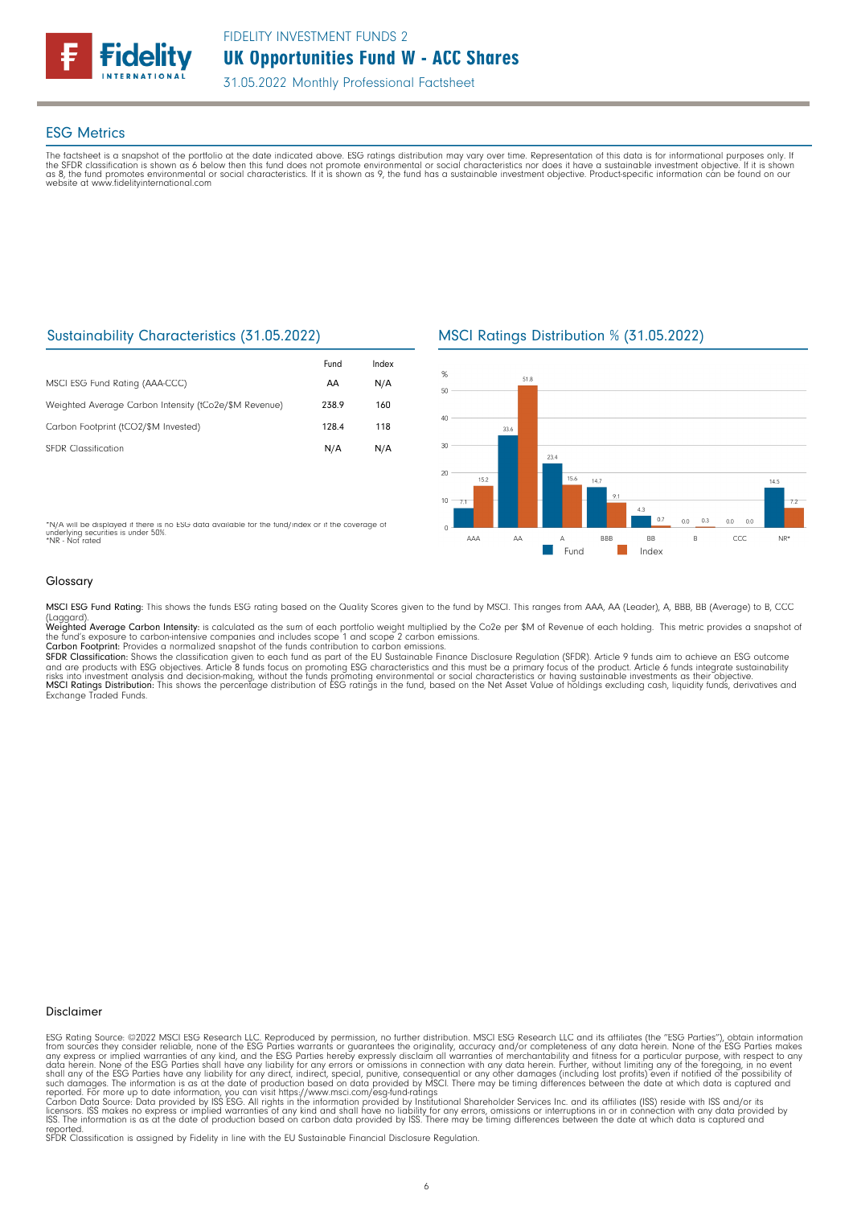

# ESG Metrics

The factsheet is a snapshot of the portfolio at the date indicated above. ESG ratings distribution may vary over time. Representation of this data is for informational purposes only. If<br>the SFDR classification is shown as website at www.fidelityinternational.com

# Sustainability Characteristics (31.05.2022)

|                                                       | Fund  | Index |
|-------------------------------------------------------|-------|-------|
| MSCI ESG Fund Rating (AAA-CCC)                        | AA    | N/A   |
| Weighted Average Carbon Intensity (tCo2e/\$M Revenue) | 238.9 | 160   |
| Carbon Footprint (tCO2/\$M Invested)                  | 128.4 | 118   |
| <b>SEDR</b> Classification                            | N/A   | N/A   |

\*N/A will be displayed if there is no ESG data available for the fund/index or if the coverage of underlying securities is under 50%. \*NR - Not rated

MSCI Ratings Distribution % (31.05.2022)



Glossary

MSCI ESG Fund Rating: This shows the funds ESG rating based on the Quality Scores given to the fund by MSCI. This ranges from AAA, AA (Leader), A, BBB, BB (Average) to B, CCC

(Laggard).<br>**Weighted Average Carbon Intensity**: is calculated as the sum of each portfolio weight multiplied by the Co2e per \$M of Revenue of each holding. This metric provides a snapshot o

the fund's exposure to carbon-intensive companies and includes scope 1 and scope 2 carbon emissions.<br>**Carbon Footprint**: Provides a normalized snapshot of the funds contribution to carbon emissions.<br>**SFDR Classification:** and are products with ESG objectives. Article 8 funds focus on promoting ESG characteristics and this must be a primary focus of the product. Article 6 funds integrate sustainability<br>risks into investment analysis and deci

## Disclaimer

ESG Rating Source: ©2022 MSCI ESG Research LLC. Reproduced by permission, no further distribution. MSCI ESG Research LLC and its affiliates (the "ESG Parties"), obtain information<br>from sources they consider reliable, none

reported. SFDR Classification is assigned by Fidelity in line with the EU Sustainable Financial Disclosure Regulation.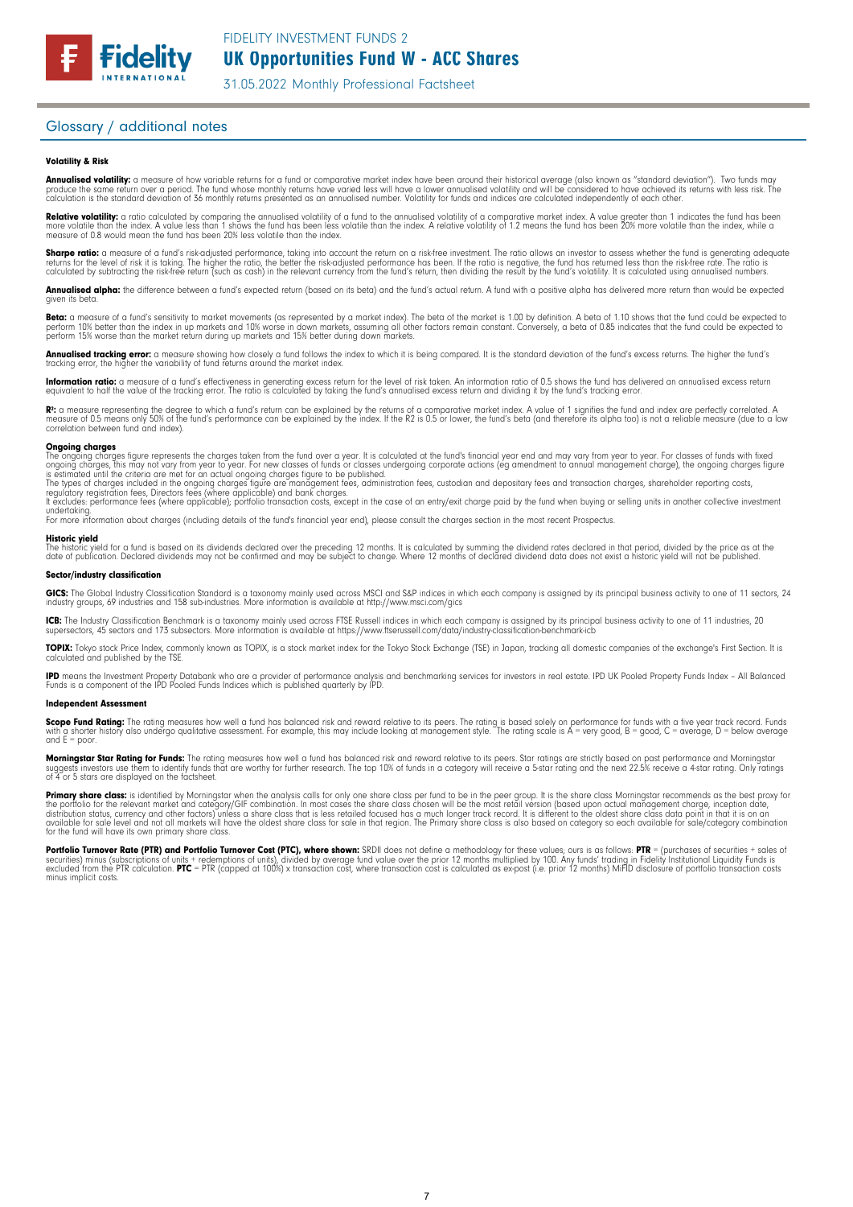# Glossary / additional notes

### Volatility & Risk

**Annualised volatility:** a measure of how variable returns for a fund or comparative market index have been around their historical average (also known as "standard deviation"). Two funds may<br>produce the same return over a calculation is the standard deviation of 36 monthly returns presented as an annualised number. Volatility for funds and indices are calculated independently of each other

**Relative volatility:** a ratio calculated by comparing the annualised volatility of a fund to the annualised volatility of a comparative market index. A value greater than 1 indicates the fund has been<br>more volatile than t measure of 0.8 would mean the fund has been 20% less volatile than the index.

**Sharpe ratio:** a measure of a fund's risk-adjusted performance, taking into account the return on a risk-free investment. The ratio allows an investor to assess whether the fund is generating adequate the tund is generati

Annualised alpha: the difference between a fund's expected return (based on its beta) and the fund's actual return. A fund with a positive alpha has delivered more return than would be expected given its beta

**Beta:** a measure of a fund's sensitivity to market movements (as represented by a market index). The beta of the market is 1.00 by definition. A beta of 1.10 shows that the fund could be expected to<br>perform 10% better tha perform 15% worse than the market return during up markets and 15% better during down markets.

**Annualised tracking error:** a measure showing how closely a tund tollows the index to which it is being compared. It is the standard deviation of the fund's excess returns. The higher the fund's<br>tracking error, the higher

**Information ratio:** a measure ot a tund's eftectiveness in generating excess return for the level of risk taken. An information ratio of U.5 shows the fund has delivered an annualised excess return<br>equivalent to half the

Rº: a measure representing the degree to which a fund's return can be explained by the returns of a comparative market index. A value of 1 signifies the fund and index are perfectly correlated. A<br>measure of 0.5 means only correlation between fund and index).

**Ongoing charges** figure represents the charges taken from the fund over a year. It is calculated at the fund's financial year end and may vary from year to year. For classes of funds with fixed ongoing charges figure repr

For more information about charges (including details of the fund's financial year end), please consult the charges section in the most recent Prospectus.

**Historic yield**<br>The historic yield for a fund is based on its dividends declared over the preceding 12 months. It is calculated by summing the dividend rates declared in that period, divided by the price as at the date of publication. Declared dividends may not be confirmed and may be subject to change. Where 12 months of declared dividend data does not exist a historic yield will not be published.

### Sector/industry classification

GICS: The Global Industry Classification Standard is a taxonomy mainly used across MSCI and S&P indices in which each company is assigned by its principal business activity to one of 11 sectors, 24 industry groups, 69 industries and 158 sub-industries. More information is available at http://www.msci.com/gics

**ICB:** The Industry Classitication Benchmark is a taxonomy mainly used across FTSE Russell indices in which each company is assigned by its principal business activity to one of 11 industries, 20<br>supersectors, 45 sectors a

TOPIX: Tokyo stock Price Index, commonly known as TOPIX, is a stock market index for the Tokyo Stock Exchange (TSE) in Japan, tracking all domestic companies of the exchange's First Section. It is calculated and published by the TSE.

**IPD** means the Investment Property Databank who are a provider of performance analysis and benchmarking services for investors in real estate. IPD UK Pooled Property Funds Index - All Balanced<br>Funds is a component of the

## Independent Assessment

**Scope Fund Rating:** The rating measures how well a fund has balanced risk and reward relative to its peers. The rating is based solely on performance for funds with a five year track record. Funds<br>with a shorter history a and  $E = poor$ 

**Morningstar Star Rating for Funds:** The rating measures how well a tund has balanced risk and reward relative to its peers. Star ratings are strictly based on past performance and Morningstar<br>suggests investors use them t

**Primary share class:** is identified by Morningstar when the analysis calls for only one share class per fund to be in the peer group. It is the share class Morningstar recommends as the best proxy for the best proxy for c for the fund will have its own primary share class.

Portfolio Turnover Rate (PTR) and Portfolio Turnover Cost (PTC), where shown: SRDII does not define a methodology for these values; ours is as follows: PTR = (purchases of securities + sales of<br>securities) minus (subscript minus implicit costs.